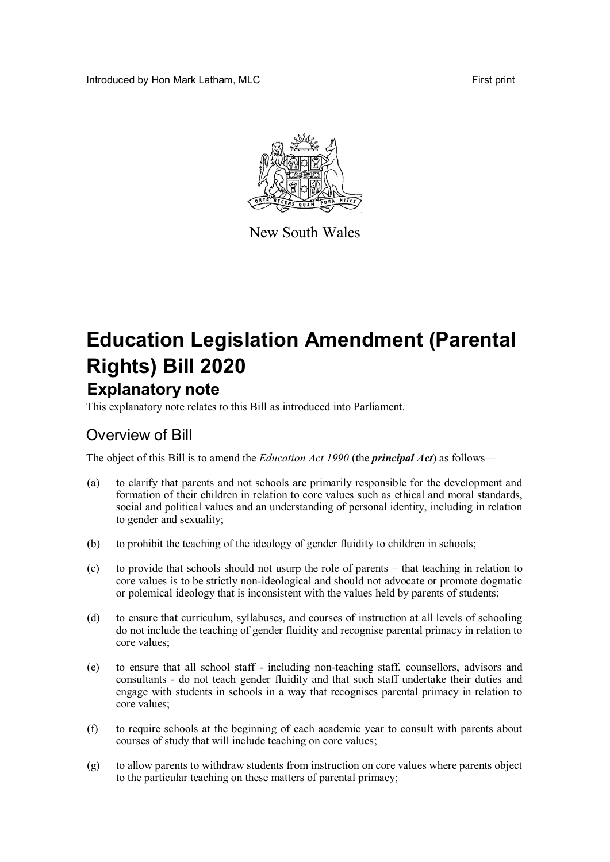Introduced by Hon Mark Latham, MLC **First print First print** 



New South Wales

# **Education Legislation Amendment (Parental Rights) Bill 2020 Explanatory note**

This explanatory note relates to this Bill as introduced into Parliament.

## Overview of Bill

The object of this Bill is to amend the *Education Act 1990* (the *principal Act*) as follows—

- (a) to clarify that parents and not schools are primarily responsible for the development and formation of their children in relation to core values such as ethical and moral standards, social and political values and an understanding of personal identity, including in relation to gender and sexuality;
- (b) to prohibit the teaching of the ideology of gender fluidity to children in schools;
- (c) to provide that schools should not usurp the role of parents that teaching in relation to core values is to be strictly non-ideological and should not advocate or promote dogmatic or polemical ideology that is inconsistent with the values held by parents of students;
- (d) to ensure that curriculum, syllabuses, and courses of instruction at all levels of schooling do not include the teaching of gender fluidity and recognise parental primacy in relation to core values;
- (e) to ensure that all school staff including non-teaching staff, counsellors, advisors and consultants - do not teach gender fluidity and that such staff undertake their duties and engage with students in schools in a way that recognises parental primacy in relation to core values;
- (f) to require schools at the beginning of each academic year to consult with parents about courses of study that will include teaching on core values;
- (g) to allow parents to withdraw students from instruction on core values where parents object to the particular teaching on these matters of parental primacy;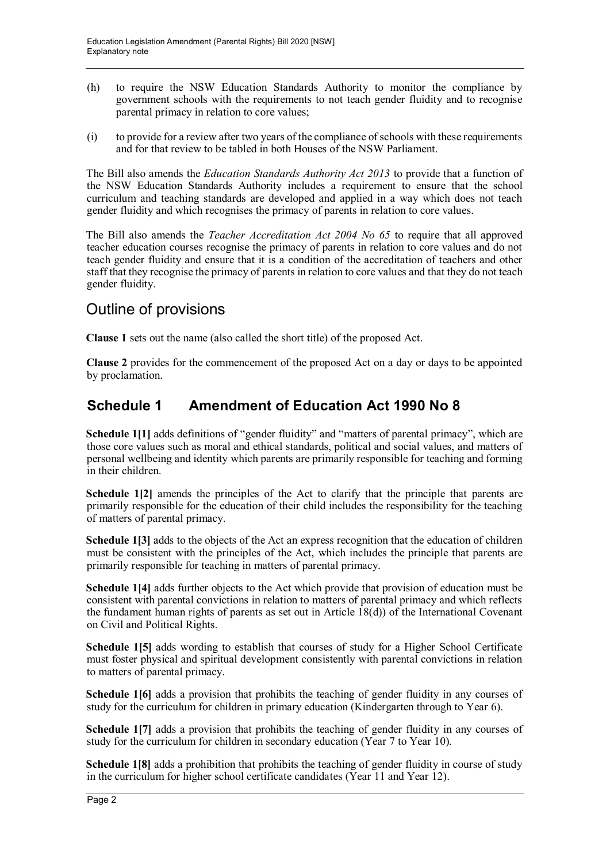- (h) to require the NSW Education Standards Authority to monitor the compliance by government schools with the requirements to not teach gender fluidity and to recognise parental primacy in relation to core values;
- (i) to provide for a review after two years of the compliance of schools with these requirements and for that review to be tabled in both Houses of the NSW Parliament.

The Bill also amends the *Education Standards Authority Act 2013* to provide that a function of the NSW Education Standards Authority includes a requirement to ensure that the school curriculum and teaching standards are developed and applied in a way which does not teach gender fluidity and which recognises the primacy of parents in relation to core values.

The Bill also amends the *Teacher Accreditation Act 2004 No 65* to require that all approved teacher education courses recognise the primacy of parents in relation to core values and do not teach gender fluidity and ensure that it is a condition of the accreditation of teachers and other staff that they recognise the primacy of parents in relation to core values and that they do not teach gender fluidity.

# Outline of provisions

**Clause 1** sets out the name (also called the short title) of the proposed Act.

**Clause 2** provides for the commencement of the proposed Act on a day or days to be appointed by proclamation.

## **Schedule 1 Amendment of Education Act 1990 No 8**

**Schedule 1[1]** adds definitions of "gender fluidity" and "matters of parental primacy", which are those core values such as moral and ethical standards, political and social values, and matters of personal wellbeing and identity which parents are primarily responsible for teaching and forming in their children.

**Schedule 1[2]** amends the principles of the Act to clarify that the principle that parents are primarily responsible for the education of their child includes the responsibility for the teaching of matters of parental primacy.

**Schedule 1[3]** adds to the objects of the Act an express recognition that the education of children must be consistent with the principles of the Act, which includes the principle that parents are primarily responsible for teaching in matters of parental primacy.

**Schedule 1[4]** adds further objects to the Act which provide that provision of education must be consistent with parental convictions in relation to matters of parental primacy and which reflects the fundament human rights of parents as set out in Article 18(d)) of the International Covenant on Civil and Political Rights.

**Schedule 1[5]** adds wording to establish that courses of study for a Higher School Certificate must foster physical and spiritual development consistently with parental convictions in relation to matters of parental primacy.

**Schedule 1[6]** adds a provision that prohibits the teaching of gender fluidity in any courses of study for the curriculum for children in primary education (Kindergarten through to Year 6).

**Schedule 1[7]** adds a provision that prohibits the teaching of gender fluidity in any courses of study for the curriculum for children in secondary education (Year 7 to Year 10).

**Schedule 1[8]** adds a prohibition that prohibits the teaching of gender fluidity in course of study in the curriculum for higher school certificate candidates (Year 11 and Year 12).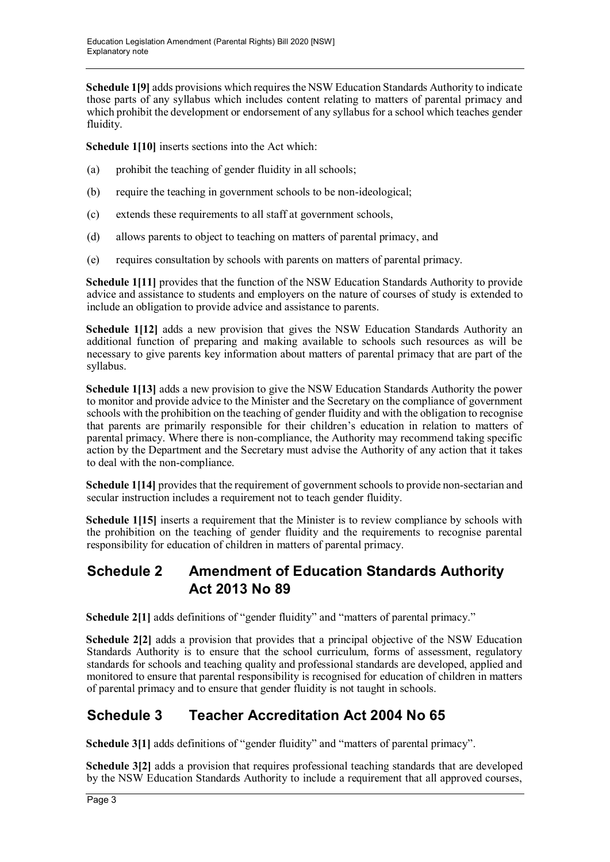**Schedule 1[9]** adds provisions which requires the NSW Education Standards Authority to indicate those parts of any syllabus which includes content relating to matters of parental primacy and which prohibit the development or endorsement of any syllabus for a school which teaches gender fluidity.

**Schedule 1[10]** inserts sections into the Act which:

- (a) prohibit the teaching of gender fluidity in all schools;
- (b) require the teaching in government schools to be non-ideological;
- (c) extends these requirements to all staff at government schools,
- (d) allows parents to object to teaching on matters of parental primacy, and
- (e) requires consultation by schools with parents on matters of parental primacy.

**Schedule 1[11]** provides that the function of the NSW Education Standards Authority to provide advice and assistance to students and employers on the nature of courses of study is extended to include an obligation to provide advice and assistance to parents.

**Schedule 1[12]** adds a new provision that gives the NSW Education Standards Authority an additional function of preparing and making available to schools such resources as will be necessary to give parents key information about matters of parental primacy that are part of the syllabus.

**Schedule 1[13]** adds a new provision to give the NSW Education Standards Authority the power to monitor and provide advice to the Minister and the Secretary on the compliance of government schools with the prohibition on the teaching of gender fluidity and with the obligation to recognise that parents are primarily responsible for their children's education in relation to matters of parental primacy. Where there is non-compliance, the Authority may recommend taking specific action by the Department and the Secretary must advise the Authority of any action that it takes to deal with the non-compliance.

**Schedule 1[14]** provides that the requirement of government schools to provide non-sectarian and secular instruction includes a requirement not to teach gender fluidity.

**Schedule 1[15]** inserts a requirement that the Minister is to review compliance by schools with the prohibition on the teaching of gender fluidity and the requirements to recognise parental responsibility for education of children in matters of parental primacy.

### **Schedule 2 Amendment of Education Standards Authority Act 2013 No 89**

**Schedule 2[1]** adds definitions of "gender fluidity" and "matters of parental primacy."

**Schedule 2[2]** adds a provision that provides that a principal objective of the NSW Education Standards Authority is to ensure that the school curriculum, forms of assessment, regulatory standards for schools and teaching quality and professional standards are developed, applied and monitored to ensure that parental responsibility is recognised for education of children in matters of parental primacy and to ensure that gender fluidity is not taught in schools.

# **Schedule 3 Teacher Accreditation Act 2004 No 65**

**Schedule 3[1]** adds definitions of "gender fluidity" and "matters of parental primacy".

**Schedule 3[2]** adds a provision that requires professional teaching standards that are developed by the NSW Education Standards Authority to include a requirement that all approved courses,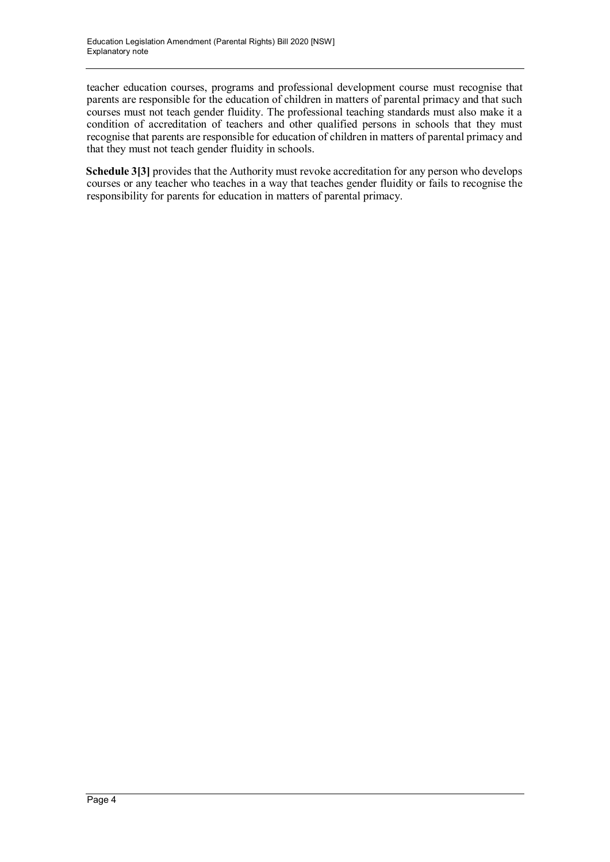teacher education courses, programs and professional development course must recognise that parents are responsible for the education of children in matters of parental primacy and that such courses must not teach gender fluidity. The professional teaching standards must also make it a condition of accreditation of teachers and other qualified persons in schools that they must recognise that parents are responsible for education of children in matters of parental primacy and that they must not teach gender fluidity in schools.

**Schedule 3[3]** provides that the Authority must revoke accreditation for any person who develops courses or any teacher who teaches in a way that teaches gender fluidity or fails to recognise the responsibility for parents for education in matters of parental primacy.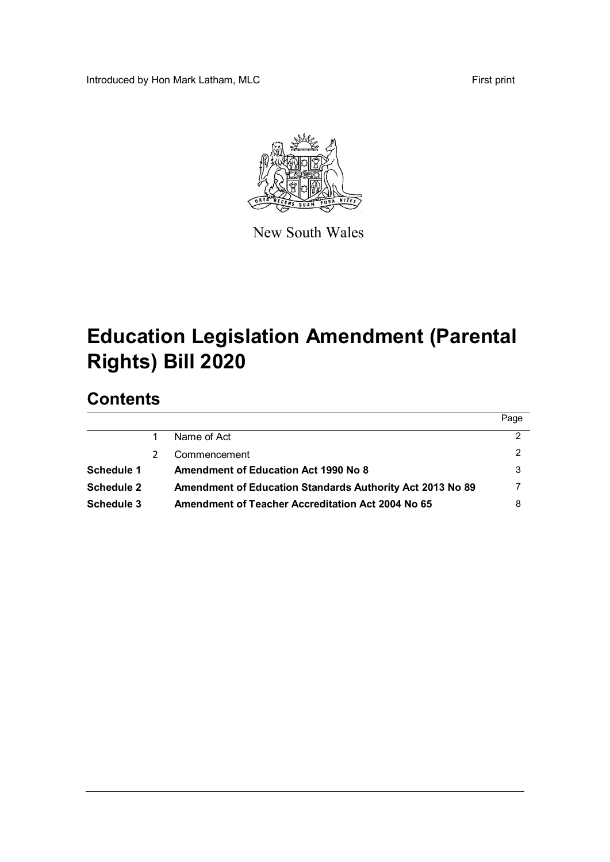Introduced by Hon Mark Latham, MLC **First print** 



New South Wales

# **Education Legislation Amendment (Parental Rights) Bill 2020**

# **Contents**

|                                                           | Page |
|-----------------------------------------------------------|------|
| Name of Act                                               | 2    |
| Commencement                                              |      |
| <b>Amendment of Education Act 1990 No 8</b>               | 3    |
| Amendment of Education Standards Authority Act 2013 No 89 |      |
| Amendment of Teacher Accreditation Act 2004 No 65         |      |
|                                                           |      |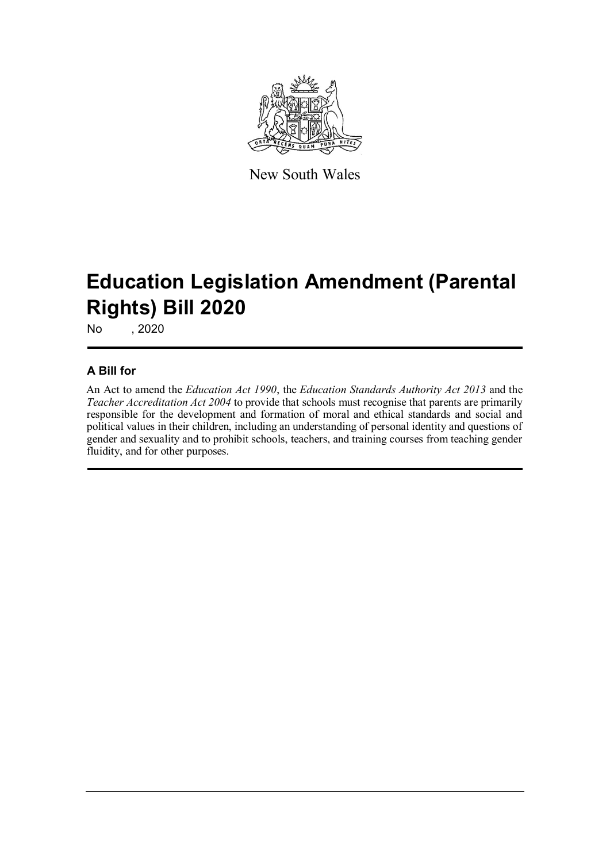

New South Wales

# **Education Legislation Amendment (Parental Rights) Bill 2020**

No , 2020

#### **A Bill for**

An Act to amend the *Education Act 1990*, the *Education Standards Authority Act 2013* and the *Teacher Accreditation Act 2004* to provide that schools must recognise that parents are primarily responsible for the development and formation of moral and ethical standards and social and political values in their children, including an understanding of personal identity and questions of gender and sexuality and to prohibit schools, teachers, and training courses from teaching gender fluidity, and for other purposes.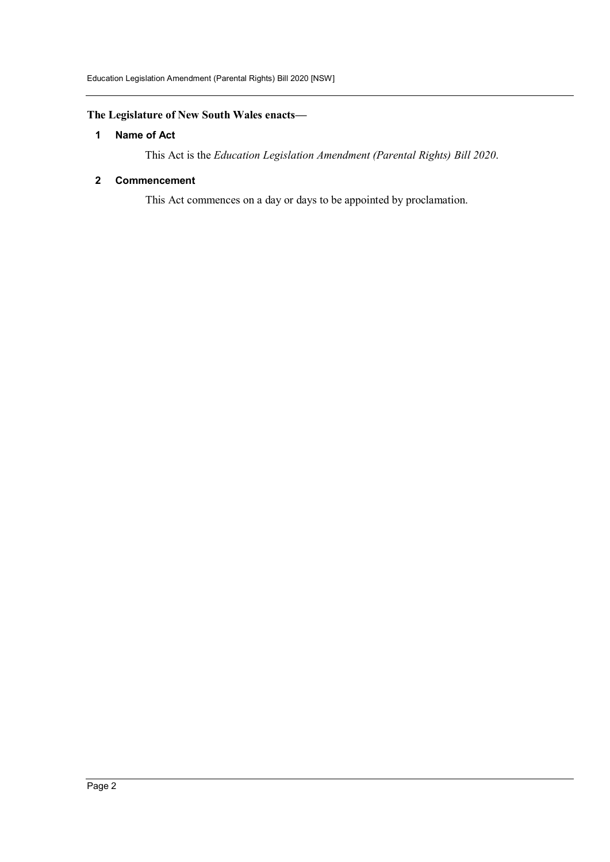#### **The Legislature of New South Wales enacts—**

#### **1 Name of Act**

This Act is the *Education Legislation Amendment (Parental Rights) Bill 2020*.

#### **2 Commencement**

This Act commences on a day or days to be appointed by proclamation.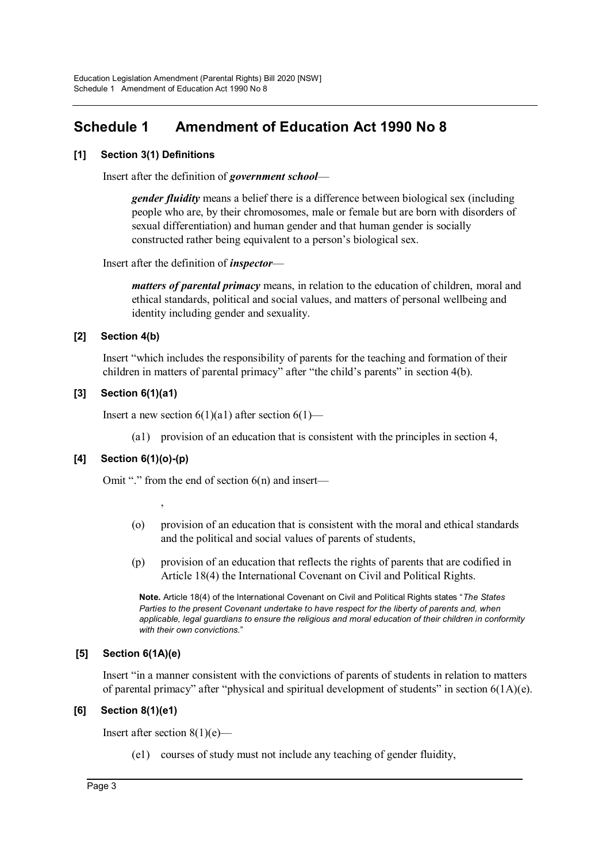# **Schedule 1 Amendment of Education Act 1990 No 8**

#### **[1] Section 3(1) Definitions**

Insert after the definition of *government school*—

*gender fluidity* means a belief there is a difference between biological sex (including people who are, by their chromosomes, male or female but are born with disorders of sexual differentiation) and human gender and that human gender is socially constructed rather being equivalent to a person's biological sex.

Insert after the definition of *inspector*—

*matters of parental primacy* means, in relation to the education of children, moral and ethical standards, political and social values, and matters of personal wellbeing and identity including gender and sexuality.

#### **[2] Section 4(b)**

Insert "which includes the responsibility of parents for the teaching and formation of their children in matters of parental primacy" after "the child's parents" in section 4(b).

#### **[3] Section 6(1)(a1)**

Insert a new section  $6(1)(a1)$  after section  $6(1)$ —

(a1) provision of an education that is consistent with the principles in section 4,

#### **[4] Section 6(1)(o)-(p)**

,

Omit "." from the end of section  $6(n)$  and insert—

- (o) provision of an education that is consistent with the moral and ethical standards and the political and social values of parents of students,
- (p) provision of an education that reflects the rights of parents that are codified in Article 18(4) the International Covenant on Civil and Political Rights.

**Note.** Article 18(4) of the International Covenant on Civil and Political Rights states "*The States Parties to the present Covenant undertake to have respect for the liberty of parents and, when applicable, legal guardians to ensure the religious and moral education of their children in conformity with their own convictions.*"

#### **[5] Section 6(1A)(e)**

Insert "in a manner consistent with the convictions of parents of students in relation to matters of parental primacy" after "physical and spiritual development of students" in section  $6(1A)(e)$ .

#### **[6] Section 8(1)(e1)**

Insert after section  $8(1)(e)$ —

(e1) courses of study must not include any teaching of gender fluidity,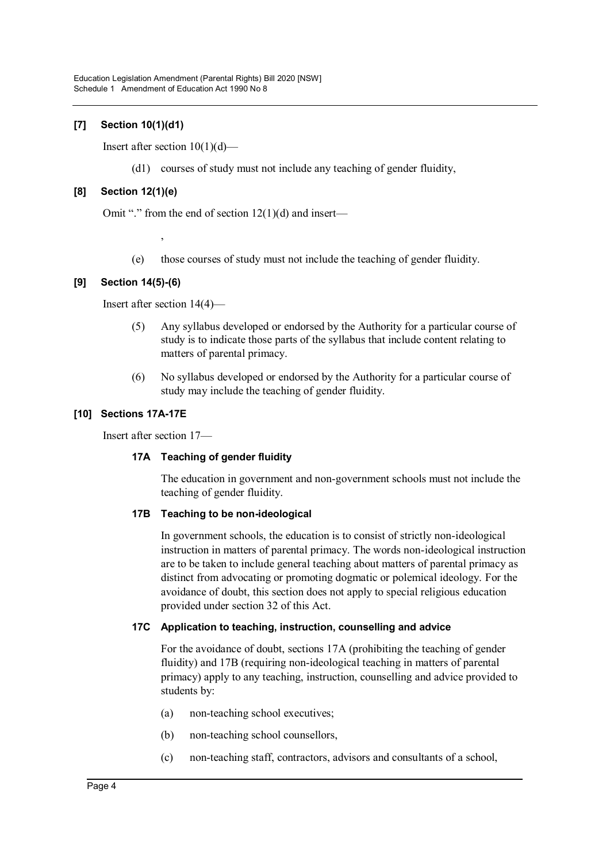#### **[7] Section 10(1)(d1)**

Insert after section  $10(1)(d)$ —

(d1) courses of study must not include any teaching of gender fluidity,

#### **[8] Section 12(1)(e)**

Omit "." from the end of section  $12(1)(d)$  and insert—

- ,
- (e) those courses of study must not include the teaching of gender fluidity.

#### **[9] Section 14(5)-(6)**

Insert after section 14(4)—

- (5) Any syllabus developed or endorsed by the Authority for a particular course of study is to indicate those parts of the syllabus that include content relating to matters of parental primacy.
- (6) No syllabus developed or endorsed by the Authority for a particular course of study may include the teaching of gender fluidity.

#### **[10] Sections 17A-17E**

Insert after section 17—

#### **17A Teaching of gender fluidity**

The education in government and non-government schools must not include the teaching of gender fluidity.

#### **17B Teaching to be non-ideological**

In government schools, the education is to consist of strictly non-ideological instruction in matters of parental primacy. The words non-ideological instruction are to be taken to include general teaching about matters of parental primacy as distinct from advocating or promoting dogmatic or polemical ideology. For the avoidance of doubt, this section does not apply to special religious education provided under section 32 of this Act.

#### **17C Application to teaching, instruction, counselling and advice**

For the avoidance of doubt, sections 17A (prohibiting the teaching of gender fluidity) and 17B (requiring non-ideological teaching in matters of parental primacy) apply to any teaching, instruction, counselling and advice provided to students by:

- (a) non-teaching school executives;
- (b) non-teaching school counsellors,
- (c) non-teaching staff, contractors, advisors and consultants of a school,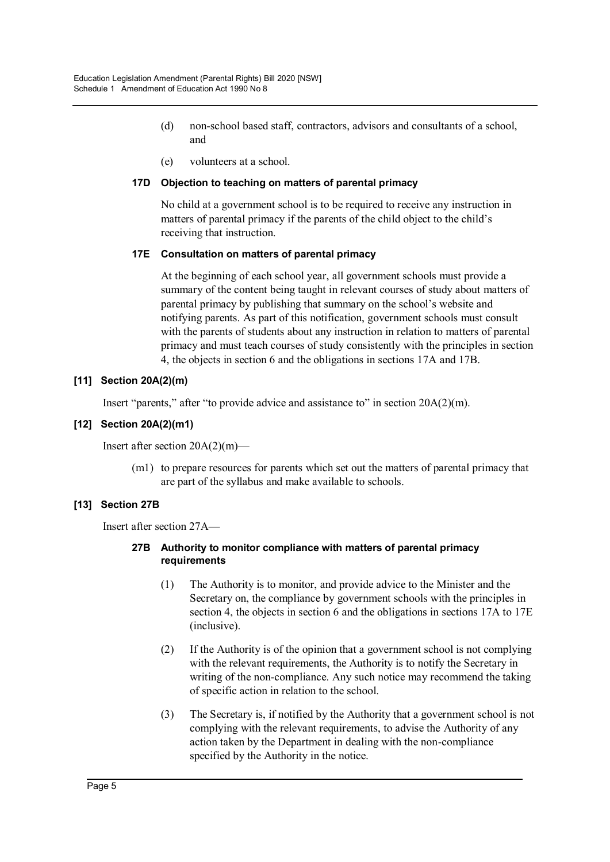- (d) non-school based staff, contractors, advisors and consultants of a school, and
- (e) volunteers at a school.

#### **17D Objection to teaching on matters of parental primacy**

No child at a government school is to be required to receive any instruction in matters of parental primacy if the parents of the child object to the child's receiving that instruction.

#### **17E Consultation on matters of parental primacy**

At the beginning of each school year, all government schools must provide a summary of the content being taught in relevant courses of study about matters of parental primacy by publishing that summary on the school's website and notifying parents. As part of this notification, government schools must consult with the parents of students about any instruction in relation to matters of parental primacy and must teach courses of study consistently with the principles in section 4, the objects in section 6 and the obligations in sections 17A and 17B.

#### **[11] Section 20A(2)(m)**

Insert "parents," after "to provide advice and assistance to" in section 20A(2)(m).

#### **[12] Section 20A(2)(m1)**

Insert after section 20A(2)(m)—

(m1) to prepare resources for parents which set out the matters of parental primacy that are part of the syllabus and make available to schools.

#### **[13] Section 27B**

Insert after section 27A—

#### **27B Authority to monitor compliance with matters of parental primacy requirements**

- (1) The Authority is to monitor, and provide advice to the Minister and the Secretary on, the compliance by government schools with the principles in section 4, the objects in section 6 and the obligations in sections 17A to 17E (inclusive).
- (2) If the Authority is of the opinion that a government school is not complying with the relevant requirements, the Authority is to notify the Secretary in writing of the non-compliance. Any such notice may recommend the taking of specific action in relation to the school.
- (3) The Secretary is, if notified by the Authority that a government school is not complying with the relevant requirements, to advise the Authority of any action taken by the Department in dealing with the non-compliance specified by the Authority in the notice.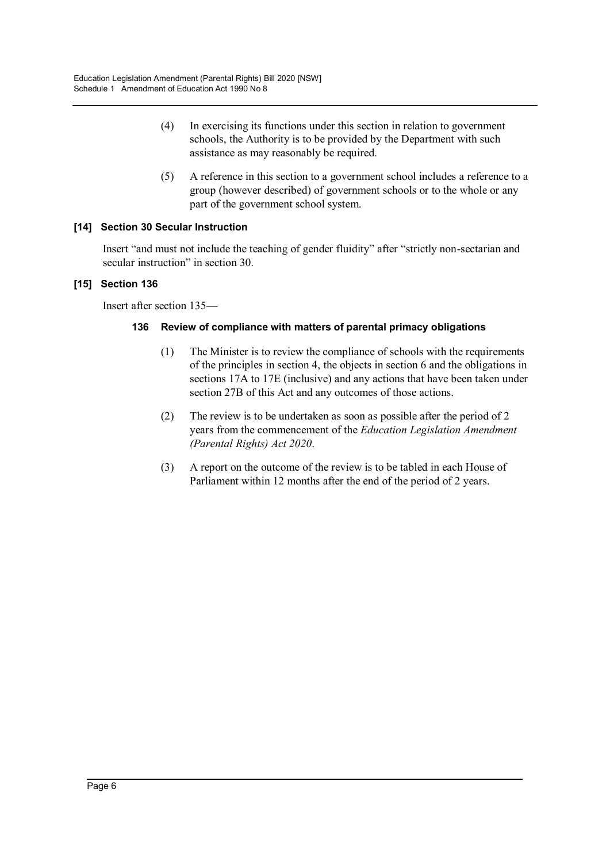- (4) In exercising its functions under this section in relation to government schools, the Authority is to be provided by the Department with such assistance as may reasonably be required.
- (5) A reference in this section to a government school includes a reference to a group (however described) of government schools or to the whole or any part of the government school system.

#### **[14] Section 30 Secular Instruction**

Insert "and must not include the teaching of gender fluidity" after "strictly non-sectarian and secular instruction" in section 30.

#### **[15] Section 136**

Insert after section 135—

#### **136 Review of compliance with matters of parental primacy obligations**

- (1) The Minister is to review the compliance of schools with the requirements of the principles in section 4, the objects in section 6 and the obligations in sections 17A to 17E (inclusive) and any actions that have been taken under section 27B of this Act and any outcomes of those actions.
- (2) The review is to be undertaken as soon as possible after the period of 2 years from the commencement of the *Education Legislation Amendment (Parental Rights) Act 2020*.
- (3) A report on the outcome of the review is to be tabled in each House of Parliament within 12 months after the end of the period of 2 years.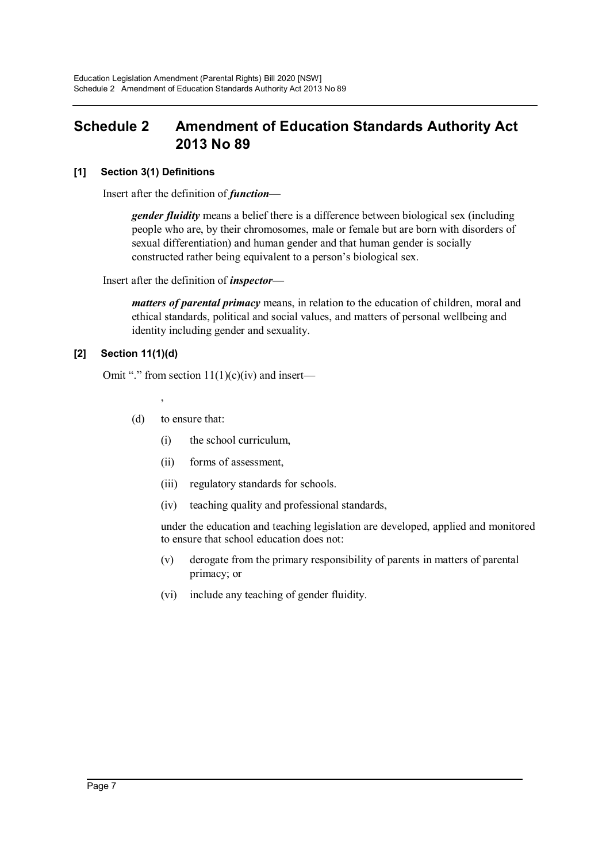## **Schedule 2 Amendment of Education Standards Authority Act 2013 No 89**

#### **[1] Section 3(1) Definitions**

Insert after the definition of *function*—

*gender fluidity* means a belief there is a difference between biological sex (including people who are, by their chromosomes, male or female but are born with disorders of sexual differentiation) and human gender and that human gender is socially constructed rather being equivalent to a person's biological sex.

Insert after the definition of *inspector*—

*matters of parental primacy* means, in relation to the education of children, moral and ethical standards, political and social values, and matters of personal wellbeing and identity including gender and sexuality.

#### **[2] Section 11(1)(d)**

Omit "." from section  $11(1)(c)(iv)$  and insert—

,

- (d) to ensure that:
	- (i) the school curriculum,
	- (ii) forms of assessment,
	- (iii) regulatory standards for schools.
	- (iv) teaching quality and professional standards,

under the education and teaching legislation are developed, applied and monitored to ensure that school education does not:

- (v) derogate from the primary responsibility of parents in matters of parental primacy; or
- (vi) include any teaching of gender fluidity.